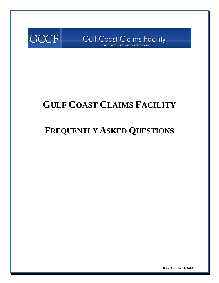

Gulf Coast Claims Facility

# **GULF COAST CLAIMS FACILITY**

# **FREQUENTLY ASKED QUESTIONS**

**REV. AUGUST 11, 2010**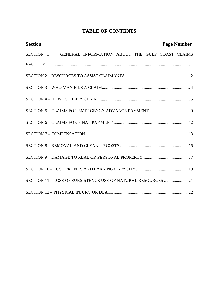# **TABLE OF CONTENTS**

| <b>Section</b>                                                | <b>Page Number</b> |
|---------------------------------------------------------------|--------------------|
| SECTION 1 - GENERAL INFORMATION ABOUT THE GULF COAST CLAIMS   |                    |
|                                                               |                    |
|                                                               |                    |
|                                                               |                    |
|                                                               |                    |
|                                                               |                    |
|                                                               |                    |
|                                                               |                    |
|                                                               |                    |
|                                                               |                    |
|                                                               |                    |
| SECTION 11 - LOSS OF SUBSISTENCE USE OF NATURAL RESOURCES  21 |                    |
|                                                               |                    |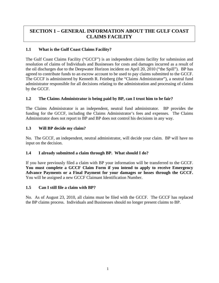# **SECTION 1 – GENERAL INFORMATION ABOUT THE GULF COAST CLAIMS FACILITY**

## **1.1 What is the Gulf Coast Claims Facility?**

The Gulf Coast Claims Facility ("GCCF") is an independent claims facility for submission and resolution of claims of Individuals and Businesses for costs and damages incurred as a result of the oil discharges due to the Deepwater Horizon incident on April 20, 2010 ("the Spill"). BP has agreed to contribute funds to an escrow account to be used to pay claims submitted to the GCCF. The GCCF is administered by Kenneth R. Feinberg (the "Claims Administrator"), a neutral fund administrator responsible for all decisions relating to the administration and processing of claims by the GCCF.

## **1.2 The Claims Administrator is being paid by BP, can I trust him to be fair?**

The Claims Administrator is an independent, neutral fund administrator. BP provides the funding for the GCCF, including the Claims Administrator's fees and expenses. The Claims Administrator does not report to BP and BP does not control his decisions in any way.

## **1.3 Will BP decide my claim?**

No. The GCCF, an independent, neutral administrator, will decide your claim. BP will have no input on the decision.

## **1.4 I already submitted a claim through BP. What should I do?**

If you have previously filed a claim with BP your information will be transferred to the GCCF. **You must complete a GCCF Claim Form if you intend to apply to receive Emergency Advance Payments or a Final Payment for your damages or losses through the GCCF.**  You will be assigned a new GCCF Claimant Identification Number.

## **1.5 Can I still file a claim with BP?**

No. As of August 23, 2010, all claims must be filed with the GCCF. The GCCF has replaced the BP claims process. Individuals and Businesses should no longer present claims to BP.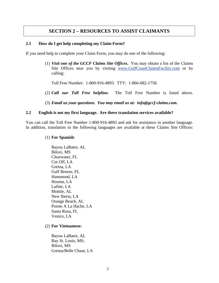## **SECTION 2 – RESOURCES TO ASSIST CLAIMANTS**

#### **2.1 How do I get help completing my Claim Form?**

If you need help to complete your Claim Form, you may do one of the following:

(1) *Visit one of the GCCF Claims Site Offices***.** You may obtain a list of the Claims Site Offices near you by visiting www.GulfCoastClaimsFacility.com or by calling:

Toll Free Number: 1-800-916-4893. TTY: 1-866-682-1758.

- (2) *Call our Toll Free helpline.* The Toll Free Number is listed above.
- (3) *Email us your questions. You may email us at: info@gccf-claims.com.*

#### **2.2 English is not my first language. Are there translation services available?**

You can call the Toll Free Number 1-800-916-4893 and ask for assistance in another language. In addition, translators in the following languages are available at these Claims Site Offices:

#### (1) **For Spanish**:

Bayou LaBatre, AL Biloxi, MS Clearwater, FL Cut Off, LA Gretna, LA Gulf Breeze, FL Hammond, LA Houma, LA Lafitte, LA Mobile, AL New Iberia, LA Orange Beach, AL Pointe A La Hache, LA Santa Rosa, FL Venice, LA

#### (2) **For Vietnamese:**

Bayou LaBatre, AL Bay St. Louis, MS; Biloxi, MS Gretna/Belle Chase, LA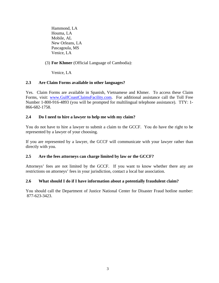Hammond, LA Houma, LA Mobile, AL New Orleans, LA Pascagoula, MS Venice, LA

## (3) **For Khmer** (Official Language of Cambodia):

Venice, LA

## **2.3 Are Claim Forms available in other languages?**

Yes. Claim Forms are available in Spanish, Vietnamese and Khmer. To access these Claim Forms, visit: www.GulfCoastClaimsFacility.com. For additional assistance call the Toll Free Number 1-800-916-4893 (you will be prompted for multilingual telephone assistance). TTY: 1- 866-682-1758.

## **2.4 Do I need to hire a lawyer to help me with my claim?**

You do not have to hire a lawyer to submit a claim to the GCCF. You do have the right to be represented by a lawyer of your choosing.

If you are represented by a lawyer, the GCCF will communicate with your lawyer rather than directly with you.

## **2.5 Are the fees attorneys can charge limited by law or the GCCF?**

Attorneys' fees are not limited by the GCCF. If you want to know whether there any are restrictions on attorneys' fees in your jurisdiction, contact a local bar association.

## **2.6 What should I do if I have information about a potentially fraudulent claim?**

You should call the Department of Justice National Center for Disaster Fraud hotline number: 877-623-3423.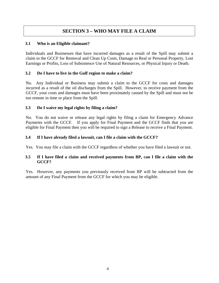# **SECTION 3 – WHO MAY FILE A CLAIM**

## **3.1 Who is an Eligible claimant?**

Individuals and Businesses that have incurred damages as a result of the Spill may submit a claim to the GCCF for Removal and Clean Up Costs, Damage to Real or Personal Property, Lost Earnings or Profits, Loss of Subsistence Use of Natural Resources, or Physical Injury or Death.

## **3.2 Do I have to live in the Gulf region to make a claim?**

No. Any Individual or Business may submit a claim to the GCCF for costs and damages incurred as a result of the oil discharges from the Spill. However, to receive payment from the GCCF, your costs and damages must have been proximately caused by the Spill and must not be too remote in time or place from the Spill.

## **3.3 Do I waive my legal rights by filing a claim?**

No. You do not waive or release any legal rights by filing a claim for Emergency Advance Payments with the GCCF. If you apply for Final Payment and the GCCF finds that you are eligible for Final Payment then you will be required to sign a Release to receive a Final Payment.

## **3.4 If I have already filed a lawsuit, can I file a claim with the GCCF?**

Yes. You may file a claim with the GCCF regardless of whether you have filed a lawsuit or not.

## **3.5 If I have filed a claim and received payments from BP, can I file a claim with the GCCF?**

Yes. However, any payments you previously received from BP will be subtracted from the amount of any Final Payment from the GCCF for which you may be eligible.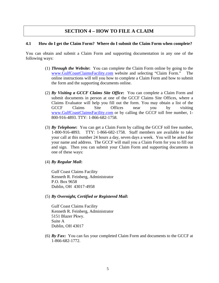## **SECTION 4 – HOW TO FILE A CLAIM**

#### **4.1 How do I get the Claim Form? Where do I submit the Claim Form when complete?**

You can obtain and submit a Claim Form and supporting documentation in any one of the following ways:

- (1) *Through the Website***:** You can complete the Claim Form online by going to the www.GulfCoastClaimsFacility.com website and selecting "Claim Form." The online instructions will tell you how to complete a Claim Form and how to submit the form and the supporting documents online.
- (2) *By Visiting a GCCF Claims Site Office***:** You can complete a Claim Form and submit documents in person at one of the GCCF Claims Site Offices, where a Claims Evaluator will help you fill out the form. You may obtain a list of the GCCF Claims Site Offices near you by visiting www.GulfCoastClaimsFacility.com or by calling the GCCF toll free number, 1- 800-916-4893. TTY: 1-866-682-1758.
- (3) *By Telephone***:** You can get a Claim Form by calling the GCCF toll free number, 1-800-916-4893. TTY: 1-866-682-1758. Staff members are available to take your call at this number 24 hours a day, seven days a week. You will be asked for your name and address. The GCCF will mail you a Claim Form for you to fill out and sign. Then you can submit your Claim Form and supporting documents in one of these ways:
- (4) *By Regular Mail***:**

Gulf Coast Claims Facility Kenneth R. Feinberg, Administrator P.O. Box 9658 Dublin, OH 43017-4958

(5) *By Overnight, Certified or Registered Mail***:** 

Gulf Coast Claims Facility Kenneth R. Feinberg, Administrator 5151 Blazer Pkwy. Suite A Dublin, OH 43017

(6) *By Fax***:** You can fax your completed Claim Form and documents to the GCCF at 1-866-682-1772.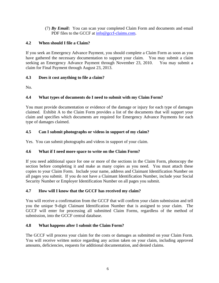(7) *By Email***:** You can scan your completed Claim Form and documents and email PDF files to the GCCF at info@gccf-claims.com.

## **4.2 When should I file a Claim?**

If you seek an Emergency Advance Payment, you should complete a Claim Form as soon as you have gathered the necessary documentation to support your claim. You may submit a claim seeking an Emergency Advance Payment through November 23, 2010. You may submit a claim for Final Payment through August 23, 2013.

## **4.3 Does it cost anything to file a claim?**

No.

## **4.4 What types of documents do I need to submit with my Claim Form?**

You must provide documentation or evidence of the damage or injury for each type of damages claimed. Exhibit A to the Claim Form provides a list of the documents that will support your claim and specifies which documents are required for Emergency Advance Payments for each type of damages claimed.

## **4.5 Can I submit photographs or videos in support of my claim?**

Yes. You can submit photographs and videos in support of your claim.

## **4.6 What if I need more space to write on the Claim Form?**

If you need additional space for one or more of the sections in the Claim Form, photocopy the section before completing it and make as many copies as you need. You must attach these copies to your Claim Form. Include your name, address and Claimant Identification Number on all pages you submit. If you do not have a Claimant Identification Number, include your Social Security Number or Employer Identification Number on all pages you submit.

## **4.7 How will I know that the GCCF has received my claim?**

You will receive a confirmation from the GCCF that will confirm your claim submission and tell you the unique 9-digit Claimant Identification Number that is assigned to your claim. The GCCF will enter for processing all submitted Claim Forms, regardless of the method of submission, into the GCCF central database.

## **4.8 What happens after I submit the Claim Form?**

The GCCF will process your claim for the costs or damages as submitted on your Claim Form. You will receive written notice regarding any action taken on your claim, including approved amounts, deficiencies, requests for additional documentation, and denied claims.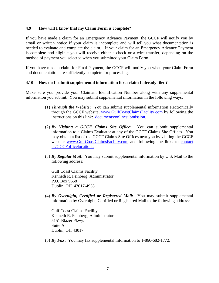#### **4.9 How will I know that my Claim Form is complete?**

If you have made a claim for an Emergency Advance Payment, the GCCF will notify you by email or written notice if your claim is incomplete and will tell you what documentation is needed to evaluate and complete the claim. If your claim for an Emergency Advance Payment is complete and eligible you will receive either a check or a wire transfer, depending on the method of payment you selected when you submitted your Claim Form.

If you have made a claim for Final Payment, the GCCF will notify you when your Claim Form and documentation are sufficiently complete for processing.

#### **4.10 How do I submit supplemental information for a claim I already filed?**

Make sure you provide your Claimant Identification Number along with any supplemental information you submit. You may submit supplemental information in the following ways:

- (1) *Through the Website***:** You can submit supplemental information electronically through the GCCF website, www.GulfCoastClaimsFacility.com by following the instructions on this link: documents/onlinesubmission.
- (2) *By Visiting a GCCF Claims Site Office***:** You can submit supplemental information to a Claims Evaluator at any of the GCCF Claims Site Offices. You may obtain a list of the GCCF Claims Site Offices near you by visiting the GCCF website www.GulfCoastClaimsFacility.com and following the links to contact us/GCCFofficelocations.
- (3) *By Regular Mail***:** You may submit supplemental information by U.S. Mail to the following address:

Gulf Coast Claims Facility Kenneth R. Feinberg, Administrator P.O. Box 9658 Dublin, OH 43017-4958

(4) *By Overnight, Certified or Registered Mail***:** You may submit supplemental information by Overnight, Certified or Registered Mail to the following address:

Gulf Coast Claims Facility Kenneth R. Feinberg, Administrator 5151 Blazer Pkwy. Suite A Dublin, OH 43017

(5) *By Fax***:** You may fax supplemental information to 1-866-682-1772.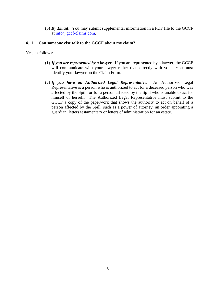(6) *By Email***:** You may submit supplemental information in a PDF file to the GCCF at info@gccf-claims.com.

#### **4.11 Can someone else talk to the GCCF about my claim?**

Yes, as follows:

- (1) *If you are represented by a lawyer.* If you are represented by a lawyer, the GCCF will communicate with your lawyer rather than directly with you. You must identify your lawyer on the Claim Form.
- (2) *If you have an Authorized Legal Representative.* An Authorized Legal Representative is a person who is authorized to act for a deceased person who was affected by the Spill, or for a person affected by the Spill who is unable to act for himself or herself. The Authorized Legal Representative must submit to the GCCF a copy of the paperwork that shows the authority to act on behalf of a person affected by the Spill, such as a power of attorney, an order appointing a guardian, letters testamentary or letters of administration for an estate.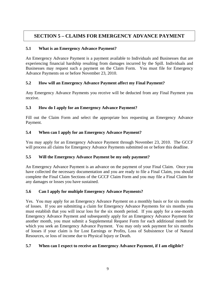# **SECTION 5 – CLAIMS FOR EMERGENCY ADVANCE PAYMENT**

## **5.1 What is an Emergency Advance Payment?**

An Emergency Advance Payment is a payment available to Individuals and Businesses that are experiencing financial hardship resulting from damages incurred by the Spill. Individuals and Businesses may request such a payment on the Claim Form. You must file for Emergency Advance Payments on or before November 23, 2010.

## **5.2 How will an Emergency Advance Payment affect my Final Payment?**

Any Emergency Advance Payments you receive will be deducted from any Final Payment you receive.

## **5.3 How do I apply for an Emergency Advance Payment?**

Fill out the Claim Form and select the appropriate box requesting an Emergency Advance Payment.

## **5.4 When can I apply for an Emergency Advance Payment?**

You may apply for an Emergency Advance Payment through November 23, 2010. The GCCF will process all claims for Emergency Advance Payments submitted on or before this deadline.

## **5.5 Will the Emergency Advance Payment be my only payment?**

An Emergency Advance Payment is an advance on the payment of your Final Claim. Once you have collected the necessary documentation and you are ready to file a Final Claim, you should complete the Final Claim Sections of the GCCF Claim Form and you may file a Final Claim for any damages or losses you have sustained.

## **5.6 Can I apply for multiple Emergency Advance Payments?**

Yes. You may apply for an Emergency Advance Payment on a monthly basis or for six months of losses. If you are submitting a claim for Emergency Advance Payments for six months you must establish that you will incur loss for the six month period. If you apply for a one-month Emergency Advance Payment and subsequently apply for an Emergency Advance Payment for another month, you must submit a Supplemental Request Form for each additional month for which you seek an Emergency Advance Payment. You may only seek payment for six months of losses if your claim is for Lost Earnings or Profits, Loss of Subsistence Use of Natural Resources, or loss of income due to Physical Injury or Death.

## **5.7 When can I expect to receive an Emergency Advance Payment, if I am eligible?**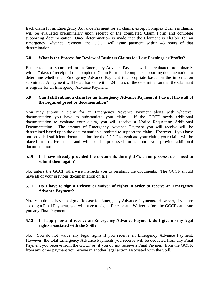Each claim for an Emergency Advance Payment for all claims, except Complex Business claims, will be evaluated preliminarily upon receipt of the completed Claim Form and complete supporting documentation. Once determination is made that the Claimant is eligible for an Emergency Advance Payment, the GCCF will issue payment within 48 hours of that determination.

## **5.8 What is the Process for Review of Business Claims for Lost Earnings or Profits?**

Business claims submitted for an Emergency Advance Payment will be evaluated preliminarily within 7 days of receipt of the completed Claim Form and complete supporting documentation to determine whether an Emergency Advance Payment is appropriate based on the information submitted. A payment will be authorized within 24 hours of the determination that the Claimant is eligible for an Emergency Advance Payment.

## **5.9 Can I still submit a claim for an Emergency Advance Payment if I do not have all of the required proof or documentation?**

You may submit a claim for an Emergency Advance Payment along with whatever documentation you have to substantiate your claim. If the GCCF needs additional documentation to evaluate your claim, you will receive a Notice Requesting Additional Documentation. The amount of Emergency Advance Payment you will receive will be determined based upon the documentation submitted to support the claim. However, if you have not provided sufficient documentation for the GCCF to evaluate your claim, your claim will be placed in inactive status and will not be processed further until you provide additional documentation.

## **5.10 If I have already provided the documents during BP's claim process, do I need to submit them again?**

No, unless the GCCF otherwise instructs you to resubmit the documents. The GCCF should have all of your previous documentation on file.

## **5.11 Do I have to sign a Release or waiver of rights in order to receive an Emergency Advance Payment?**

No. You do not have to sign a Release for Emergency Advance Payments. However, if you are seeking a Final Payment, you will have to sign a Release and Waiver before the GCCF can issue you any Final Payment.

## **5.12 If I apply for and receive an Emergency Advance Payment, do I give up my legal rights associated with the Spill?**

No. You do not waive any legal rights if you receive an Emergency Advance Payment. However, the total Emergency Advance Payments you receive will be deducted from any Final Payment you receive from the GCCF or, if you do not receive a Final Payment from the GCCF, from any other payment you receive in another legal action associated with the Spill.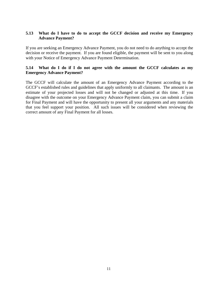## **5.13 What do I have to do to accept the GCCF decision and receive my Emergency Advance Payment?**

If you are seeking an Emergency Advance Payment, you do not need to do anything to accept the decision or receive the payment. If you are found eligible, the payment will be sent to you along with your Notice of Emergency Advance Payment Determination.

### **5.14 What do I do if I do not agree with the amount the GCCF calculates as my Emergency Advance Payment?**

The GCCF will calculate the amount of an Emergency Advance Payment according to the GCCF's established rules and guidelines that apply uniformly to all claimants. The amount is an estimate of your projected losses and will not be changed or adjusted at this time. If you disagree with the outcome on your Emergency Advance Payment claim, you can submit a claim for Final Payment and will have the opportunity to present all your arguments and any materials that you feel support your position. All such issues will be considered when reviewing the correct amount of any Final Payment for all losses.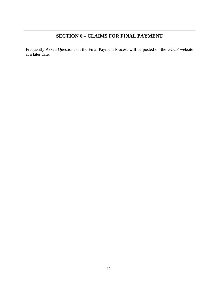# **SECTION 6 – CLAIMS FOR FINAL PAYMENT**

Frequently Asked Questions on the Final Payment Process will be posted on the GCCF website at a later date.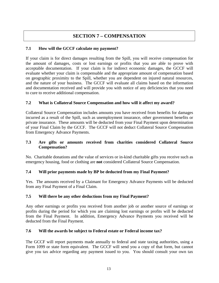# **SECTION 7 – COMPENSATION**

## **7.1 How will the GCCF calculate my payment?**

If your claim is for direct damages resulting from the Spill, you will receive compensation for the amount of damages, costs or lost earnings or profits that you are able to prove with acceptable documentation. If your claim is for indirect economic damages, the GCCF will evaluate whether your claim is compensable and the appropriate amount of compensation based on geographic proximity to the Spill, whether you are dependent on injured natural resources, and the nature of your business. The GCCF will evaluate all claims based on the information and documentation received and will provide you with notice of any deficiencies that you need to cure to receive additional compensation.

## **7.2 What is Collateral Source Compensation and how will it affect my award?**

Collateral Source Compensation includes amounts you have received from benefits for damages incurred as a result of the Spill, such as unemployment insurance, other government benefits or private insurance. These amounts will be deducted from your Final Payment upon determination of your Final Claim by the GCCF. The GCCF will not deduct Collateral Source Compensation from Emergency Advance Payments.

## **7.3 Are gifts or amounts received from charities considered Collateral Source Compensation?**

No. Charitable donations and the value of services or in-kind charitable gifts you receive such as emergency housing, food or clothing are **not** considered Collateral Source Compensation.

## **7.4 Will prior payments made by BP be deducted from my Final Payment?**

Yes. The amounts received by a Claimant for Emergency Advance Payments will be deducted from any Final Payment of a Final Claim.

## **7.5 Will there be any other deductions from my Final Payment?**

Any other earnings or profits you received from another job or another source of earnings or profits during the period for which you are claiming lost earnings or profits will be deducted from the Final Payment. In addition, Emergency Advance Payments you received will be deducted from the Final Payment.

## **7.6 Will the awards be subject to Federal estate or Federal income tax?**

The GCCF will report payments made annually to federal and state taxing authorities, using a Form 1099 or state form equivalent. The GCCF will send you a copy of that form, but cannot give you tax advice regarding any payment issued to you. You should consult your own tax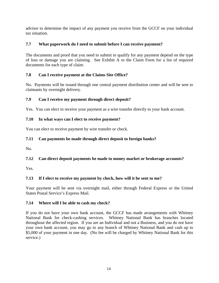advisor to determine the impact of any payment you receive from the GCCF on your individual tax situation.

## **7.7 What paperwork do I need to submit before I can receive payment?**

The documents and proof that you need to submit to qualify for any payment depend on the type of loss or damage you are claiming. See Exhibit A to the Claim Form for a list of required documents for each type of claim.

## **7.8 Can I receive payment at the Claims Site Office?**

No. Payments will be issued through one central payment distribution center and will be sent to claimants by overnight delivery.

## **7.9 Can I receive my payment through direct deposit?**

Yes. You can elect to receive your payment as a wire transfer directly to your bank account.

## **7.10 In what ways can I elect to receive payment?**

You can elect to receive payment by wire transfer or check.

## **7.11 Can payments be made through direct deposit to foreign banks?**

No.

## **7.12 Can direct deposit payments be made to money market or brokerage accounts?**

Yes.

## **7.13 If I elect to receive my payment by check, how will it be sent to me?**

Your payment will be sent via overnight mail, either through Federal Express or the United States Postal Service's Express Mail.

## **7.14 Where will I be able to cash my check?**

If you do not have your own bank account, the GCCF has made arrangements with Whitney National Bank for check-cashing services. Whitney National Bank has branches located throughout the affected region. If you are an Individual and not a Business, and you do not have your own bank account, you may go to any branch of Whitney National Bank and cash up to \$5,000 of your payment in one day. (No fee will be charged by Whitney National Bank for this service.)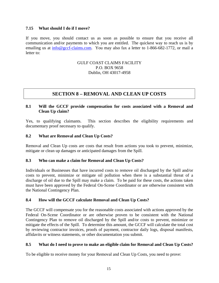#### **7.15 What should I do if I move?**

If you move, you should contact us as soon as possible to ensure that you receive all communication and/or payments to which you are entitled. The quickest way to reach us is by emailing us at info@gccf-claims.com. You may also fax a letter to 1-866-682-1772, or mail a letter to:

#### GULF COAST CLAIMS FACILITY P.O. BOX 9658 Dublin, OH 43017-4958

## **SECTION 8 – REMOVAL AND CLEAN UP COSTS**

## **8.1 Will the GCCF provide compensation for costs associated with a Removal and Clean Up claim?**

Yes, to qualifying claimants. This section describes the eligibility requirements and documentary proof necessary to qualify.

#### **8.2 What are Removal and Clean Up Costs?**

Removal and Clean Up costs are costs that result from actions you took to prevent, minimize, mitigate or clean up damages or anticipated damages from the Spill.

#### **8.3 Who can make a claim for Removal and Clean Up Costs?**

Individuals or Businesses that have incurred costs to remove oil discharged by the Spill and/or costs to prevent, minimize or mitigate oil pollution when there is a substantial threat of a discharge of oil due to the Spill may make a claim. To be paid for these costs, the actions taken must have been approved by the Federal On-Scene Coordinator or are otherwise consistent with the National Contingency Plan.

## **8.4 How will the GCCF calculate Removal and Clean Up Costs?**

The GCCF will compensate you for the reasonable costs associated with actions approved by the Federal On-Scene Coordinator or are otherwise proven to be consistent with the National Contingency Plan to remove oil discharged by the Spill and/or costs to prevent, minimize or mitigate the effects of the Spill. To determine this amount, the GCCF will calculate the total cost by reviewing contractor invoices, proofs of payment, contractor daily logs, disposal manifests, affidavits or witness statements, or other documentation you submit.

#### **8.5 What do I need to prove to make an eligible claim for Removal and Clean Up Costs?**

To be eligible to receive money for your Removal and Clean Up Costs, you need to prove: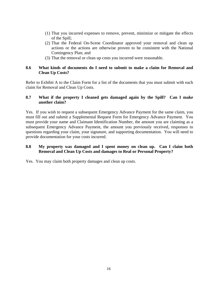- (1) That you incurred expenses to remove, prevent, minimize or mitigate the effects of the Spill;
- (2) That the Federal On-Scene Coordinator approved your removal and clean up actions or the actions are otherwise proven to be consistent with the National Contingency Plan; and
- (3) That the removal or clean up costs you incurred were reasonable.

#### **8.6 What kinds of documents do I need to submit to make a claim for Removal and Clean Up Costs?**

Refer to Exhibit A to the Claim Form for a list of the documents that you must submit with each claim for Removal and Clean Up Costs.

### **8.7 What if the property I cleaned gets damaged again by the Spill? Can I make another claim?**

Yes. If you wish to request a subsequent Emergency Advance Payment for the same claim, you must fill out and submit a Supplemental Request Form for Emergency Advance Payment. You must provide your name and Claimant Identification Number, the amount you are claiming as a subsequent Emergency Advance Payment, the amount you previously received, responses to questions regarding your claim, your signature, and supporting documentation. You will need to provide documentation for your costs incurred.

## **8.8 My property was damaged and I spent money on clean up. Can I claim both Removal and Clean Up Costs and damages to Real or Personal Property?**

Yes. You may claim both property damages and clean up costs.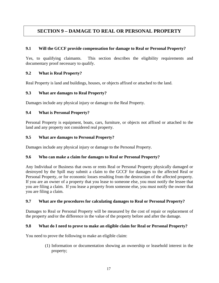# **SECTION 9 – DAMAGE TO REAL OR PERSONAL PROPERTY**

## **9.1 Will the GCCF provide compensation for damage to Real or Personal Property?**

Yes, to qualifying claimants. This section describes the eligibility requirements and documentary proof necessary to qualify.

## **9.2 What is Real Property?**

Real Property is land and buildings, houses, or objects affixed or attached to the land.

## **9.3 What are damages to Real Property?**

Damages include any physical injury or damage to the Real Property.

## **9.4 What is Personal Property?**

Personal Property is equipment, boats, cars, furniture, or objects not affixed or attached to the land and any property not considered real property.

## **9.5 What are damages to Personal Property?**

Damages include any physical injury or damage to the Personal Property.

## **9.6 Who can make a claim for damages to Real or Personal Property?**

Any Individual or Business that owns or rents Real or Personal Property physically damaged or destroyed by the Spill may submit a claim to the GCCF for damages to the affected Real or Personal Property, or for economic losses resulting from the destruction of the affected property. If you are an owner of a property that you lease to someone else, you must notify the lessee that you are filing a claim. If you lease a property from someone else, you must notify the owner that you are filing a claim.

## **9.7 What are the procedures for calculating damages to Real or Personal Property?**

Damages to Real or Personal Property will be measured by the cost of repair or replacement of the property and/or the difference in the value of the property before and after the damage.

## **9.8 What do I need to prove to make an eligible claim for Real or Personal Property?**

You need to prove the following to make an eligible claim:

(1) Information or documentation showing an ownership or leasehold interest in the property;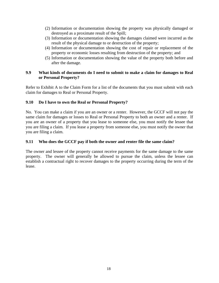- (2) Information or documentation showing the property was physically damaged or destroyed as a proximate result of the Spill;
- (3) Information or documentation showing the damages claimed were incurred as the result of the physical damage to or destruction of the property;
- (4) Information or documentation showing the cost of repair or replacement of the property or economic losses resulting from destruction of the property; and
- (5) Information or documentation showing the value of the property both before and after the damage.

## **9.9 What kinds of documents do I need to submit to make a claim for damages to Real or Personal Property?**

Refer to Exhibit A to the Claim Form for a list of the documents that you must submit with each claim for damages to Real or Personal Property.

## **9.10 Do I have to own the Real or Personal Property?**

No. You can make a claim if you are an owner or a renter. However, the GCCF will not pay the same claim for damages or losses to Real or Personal Property to both an owner and a renter. If you are an owner of a property that you lease to someone else, you must notify the lessee that you are filing a claim. If you lease a property from someone else, you must notify the owner that you are filing a claim.

## **9.11 Who does the GCCF pay if both the owner and renter file the same claim?**

The owner and lessee of the property cannot receive payments for the same damage to the same property. The owner will generally be allowed to pursue the claim, unless the lessee can establish a contractual right to recover damages to the property occurring during the term of the lease.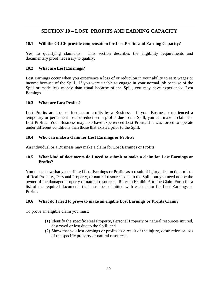# **SECTION 10 – LOST PROFITS AND EARNING CAPACITY**

## **10.1 Will the GCCF provide compensation for Lost Profits and Earning Capacity?**

Yes, to qualifying claimants. This section describes the eligibility requirements and documentary proof necessary to qualify.

## **10.2 What are Lost Earnings?**

Lost Earnings occur when you experience a loss of or reduction in your ability to earn wages or income because of the Spill. If you were unable to engage in your normal job because of the Spill or made less money than usual because of the Spill, you may have experienced Lost Earnings.

## **10.3 What are Lost Profits?**

Lost Profits are loss of income or profits by a Business. If your Business experienced a temporary or permanent loss or reduction in profits due to the Spill, you can make a claim for Lost Profits. Your Business may also have experienced Lost Profits if it was forced to operate under different conditions than those that existed prior to the Spill.

## **10.4 Who can make a claim for Lost Earnings or Profits?**

An Individual or a Business may make a claim for Lost Earnings or Profits.

## **10.5 What kind of documents do I need to submit to make a claim for Lost Earnings or Profits?**

You must show that you suffered Lost Earnings or Profits as a result of injury, destruction or loss of Real Property, Personal Property, or natural resources due to the Spill, but you need not be the owner of the damaged property or natural resources. Refer to Exhibit A to the Claim Form for a list of the required documents that must be submitted with each claim for Lost Earnings or Profits.

## **10.6 What do I need to prove to make an eligible Lost Earnings or Profits Claim?**

To prove an eligible claim you must:

- (1) Identify the specific Real Property, Personal Property or natural resources injured, destroyed or lost due to the Spill; and
- (2) Show that you lost earnings or profits as a result of the injury, destruction or loss of the specific property or natural resources.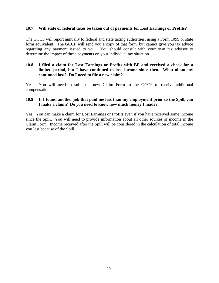#### **10.7 Will state or federal taxes be taken out of payments for Lost Earnings or Profits?**

The GCCF will report annually to federal and state taxing authorities, using a Form 1099 or state form equivalent. The GCCF will send you a copy of that form, but cannot give you tax advice regarding any payment issued to you. You should consult with your own tax advisor to determine the impact of these payments on your individual tax situation.

#### **10.8 I filed a claim for Lost Earnings or Profits with BP and received a check for a limited period, but I have continued to lose income since then. What about my continued loss? Do I need to file a new claim?**

Yes. You will need to submit a new Claim Form to the GCCF to receive additional compensation.

#### **10.9 If I found another job that paid me less than my employment prior to the Spill, can I make a claim? Do you need to know how much money I made?**

Yes. You can make a claim for Lost Earnings or Profits even if you have received some income since the Spill. You will need to provide information about all other sources of income in the Claim Form. Income received after the Spill will be considered in the calculation of total income you lost because of the Spill.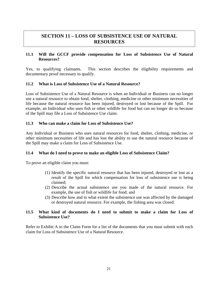## **SECTION 11 – LOSS OF SUBSISTENCE USE OF NATURAL RESOURCES**

#### **11.1 Will the GCCF provide compensation for Loss of Subsistence Use of Natural Resources?**

Yes, to qualifying claimants. This section describes the eligibility requirements and documentary proof necessary to qualify.

### **11.2 What is Loss of Subsistence Use of a Natural Resource?**

Loss of Subsistence Use of a Natural Resource is when an Individual or Business can no longer use a natural resource to obtain food, shelter, clothing, medicine or other minimum necessities of life because the natural resource has been injured, destroyed or lost because of the Spill. For example, an Individual who uses fish or other wildlife for food but can no longer do so because of the Spill may file a Loss of Subsistence Use claim.

#### **11.3 Who can make a claim for Loss of Subsistence Use?**

Any Individual or Business who uses natural resources for food, shelter, clothing, medicine, or other minimum necessities of life and has lost the ability to use the natural resource because of the Spill may make a claim for Loss of Subsistence Use.

#### **11.4 What do I need to prove to make an eligible Loss of Subsistence Claim?**

To prove an eligible claim you must:

- (1) Identify the specific natural resource that has been injured, destroyed or lost as a result of the Spill for which compensation for loss of subsistence use is being claimed;
- (2) Describe the actual subsistence use you made of the natural resource. For example, the use of fish or wildlife for food; and
- (3) Describe how and to what extent the subsistence use was affected by the damaged or destroyed natural resource. For example, the fishing area was closed.

#### **11.5 What kind of documents do I need to submit to make a claim for Loss of Subsistence Use?**

Refer to Exhibit A to the Claim Form for a list of the documents that you must submit with each claim for Loss of Subsistence Use of a Natural Resource.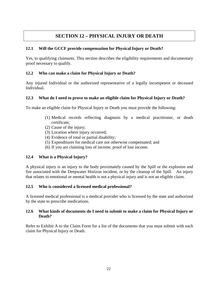# **SECTION 12 – PHYSICAL INJURY OR DEATH**

## **12.1 Will the GCCF provide compensation for Physical Injury or Death?**

Yes, to qualifying claimants. This section describes the eligibility requirements and documentary proof necessary to qualify.

## **12.2 Who can make a claim for Physical Injury or Death?**

Any injured Individual or the authorized representative of a legally incompetent or deceased Individual.

## **12.3 What do I need to prove to make an eligible claim for Physical Injury or Death?**

To make an eligible claim for Physical Injury or Death you must provide the following:

- (1) Medical records reflecting diagnosis by a medical practitioner, or death certificate;
- (2) Cause of the injury;
- (3) Location where injury occurred;
- (4) Evidence of total or partial disability;
- (5) Expenditures for medical care not otherwise compensated; and
- (6) If you are claiming loss of income, proof of lost income.

## **12.4 What is a Physical Injury?**

A physical injury is an injury to the body proximately caused by the Spill or the explosion and fire associated with the Deepwater Horizon incident, or by the cleanup of the Spill. An injury that relates to emotional or mental health is not a physical injury and is not an eligible claim.

## **12.5 Who is considered a licensed medical professional?**

A licensed medical professional is a medical provider who is licensed by the state and authorized by the state to prescribe medications.

## **12.6 What kinds of documents do I need to submit to make a claim for Physical Injury or Death?**

Refer to Exhibit A to the Claim Form for a list of the documents that you must submit with each claim for Physical Injury or Death.